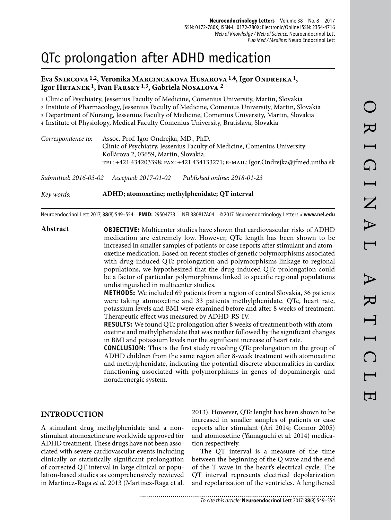# QTc prolongation after ADHD medication

## **Eva Snircova 1,2, Veronika Marcincakova Husarova 1,4, Igor Ondrejka 1, Igor Hrtanek 1, Ivan Farsky 1,3, Gabriela Nosalova 2**

1 Clinic of Psychiatry, Jessenius Faculty of Medicine, Comenius University, Martin, Slovakia 2 Institute of Pharmacology, Jessenius Faculty of Medicine, Comenius University, Martin, Slovakia 3 Department of Nursing, Jessenius Faculty of Medicine, Comenius University, Martin, Slovakia 4 Institute of Physiology, Medical Faculty Comenius University, Bratislava, Slovakia

| Correspondence to: | Assoc. Prof. Igor Ondrejka, MD., PhD.                                          |
|--------------------|--------------------------------------------------------------------------------|
|                    | Clinic of Psychiatry, Jessenius Faculty of Medicine, Comenius University       |
|                    | Kollárova 2, 03659, Martin, Slovakia.                                          |
|                    | TEL: +421 434203398; FAX: +421 434133271; E-MAIL: Igor.Ondrejka@jfmed.uniba.sk |
|                    |                                                                                |

*Submitted: 2016-03-02 Accepted: 2017-01-02 Published online: 2018-01-23*

*Key words:* **ADHD; atomoxetine; methylphenidate; QT interval**

Neuroendocrinol Lett 2017; **38**(8):549–554 **PMID:** 29504733 NEL380817A04 © 2017 Neuroendocrinology Letters • **www.nel.edu**

**Abstract OBJECTIVE:** Multicenter studies have shown that cardiovascular risks of ADHD medication are extremely low. However, QTc length has been shown to be increased in smaller samples of patients or case reports after stimulant and atomoxetine medication. Based on recent studies of genetic polymorphisms associated with drug-induced QTc prolongation and polymorphisms linkage to regional populations, we hypothesized that the drug-induced QTc prolongation could be a factor of particular polymorphisms linked to specific regional populations undistinguished in multicenter studies.

**METHODS:** We included 69 patients from a region of central Slovakia, 36 patients were taking atomoxetine and 33 patients methylphenidate. QTc, heart rate, potassium levels and BMI were examined before and after 8 weeks of treatment. Therapeutic effect was measured by ADHD-RS-IV.

**RESULTS:** We found QTc prolongation after 8 weeks of treatment both with atomoxetine and methylphenidate that was neither followed by the significant changes in BMI and potassium levels nor the significant increase of heart rate.

**CONCLUSION:** This is the first study revealing QTc prolongation in the group of ADHD children from the same region after 8-week treatment with atomoxetine and methylphenidate, indicating the potential discrete abnormalities in cardiac functioning associated with polymorphisms in genes of dopaminergic and noradrenergic system.

## **INTRODUCTION**

A stimulant drug methylphenidate and a nonstimulant atomoxetine are worldwide approved for ADHD treatment. These drugs have not been associated with severe cardiovascular events including clinically or statistically significant prolongation of corrected QT interval in large clinical or population-based studies as comprehensively rewieved in Martinez-Raga *et al.* 2013 (Martinez-Raga et al.

2013). However, QTc lenght has been shown to be increased in smaller samples of patients or case reports after stimulant (Ari 2014; Connor 2005) and atomoxetine (Yamaguchi et al. 2014) medication respectively.

The QT interval is a measure of the time between the beginning of the Q wave and the end of the T wave in the heart's electrical cycle. The QT interval represents electrical depolarization and repolarization of the ventricles. A lengthened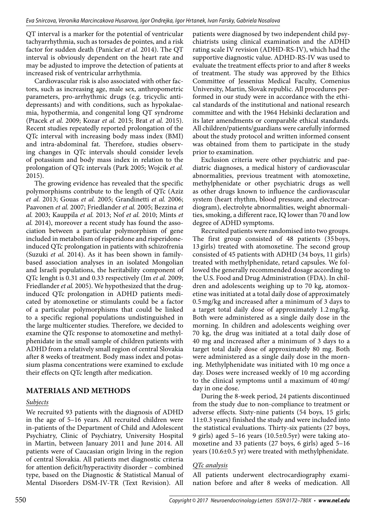QT interval is a marker for the potential of ventricular tachyarrhythmia, such as torsades de pointes, and a risk factor for sudden death (Panicker *et al.* 2014). The QT interval is obviously dependent on the heart rate and may be adjusted to improve the detection of patients at increased risk of ventricular arrhythmia.

Cardiovascular risk is also associated with other factors, such as increasing age, male sex, anthropometric parameters, pro-arrhythmic drugs (e.g. tricyclic antidepressants) and with conditions, such as hypokalaemia, hypothermia, and congenital long QT syndrome (Ptacek *et al.* 2009; Kozar *et al.* 2015; Brat *et al.* 2015). Recent studies repeatedly reported prolongation of the QTc interval with increasing body mass index (BMI) and intra-abdominal fat. Therefore, studies observing changes in QTc intervals should consider levels of potassium and body mass index in relation to the prolongation of QTc intervals (Park 2005; Wojcik *et al.*  2015).

The growing evidence has revealed that the specific polymorphisms contribute to the length of QTc (Aziz *et al.* 2013; Gouas *et al.* 2005; Grandinetti *et al.* 2006; Paavonen *et al.* 2007; Friedlander *et al.* 2005; Bezzina *et al.* 2003; Kauppila *et al.* 2013; Nof *et al.* 2010; Mints *et al.* 2014), moreover a recent study has found the association between a particular polymorphism of gene included in metabolism of risperidone and risperidoneinduced QTc prolongation in patients with schizofrenia (Suzuki *et al.* 2014). As it has been shown in familybased association analyses in an isolated Mongolian and Israeli populations, the heritability component of QTc lenght is 0.31 and 0.33 respectively (Im *et al.* 2009; Friedlander *et al.* 2005). We hypothesized that the druginduced QTc prolongation in ADHD patients medicated by atomoxetine or stimulants could be a factor of a particular polymorphisms that could be linked to a specific regional populations undistinguished in the large multicenter studies. Therefore, we decided to examine the QTc response to atomoxetine and methylphenidate in the small sample of children patients with ADHD from a relatively small region of central Slovakia after 8 weeks of treatment. Body mass index and potassium plasma concentrations were examined to exclude their effects on QTc length after medication.

# **MATERIALS AND METHODS**

# *Subjects*

We recruited 93 patients with the diagnosis of ADHD in the age of 5–16 years. All recruited children were in-patients of the Department of Child and Adolescent Psychiatry, Clinic of Psychiatry, University Hospital in Martin, between January 2011 and June 2014. All patients were of Caucasian origin living in the region of central Slovakia. All patients met diagnostic criteria for attention deficit/hyperactivity disorder – combined type, based on the Diagnostic & Statistical Manual of Mental Disorders DSM-IV-TR (Text Revision). All

patients were diagnosed by two independent child psychiatrists using clinical examination and the ADHD rating scale IV revision (ADHD-RS-IV), which had the supportive diagnostic value. ADHD-RS-IV was used to evaluate the treatment effects prior to and after 8 weeks of treatment. The study was approved by the Ethics Committee of Jessenius Medical Faculty, Comenius University, Martin, Slovak republic. All procedures performed in our study were in accordance with the ethical standards of the institutional and national research committee and with the 1964 Helsinki declaration and its later amendments or comparable ethical standards. All children/patients/guardians were carefully informed about the study protocol and written informed consent was obtained from them to participate in the study prior to examination.

Exclusion criteria were other psychiatric and paediatric diagnoses, a medical history of cardiovascular abnormalities, previous treatment with atomoxetine, methylphenidate or other psychiatric drugs as well as other drugs known to influence the cardiovascular system (heart rhythm, blood pressure, and electrocardiogram), electrolyte abnormalities, weight abnormalities, smoking, a different race, IQ lower than 70 and low degree of ADHD symptoms.

Recruited patients were randomised into two groups. The first group consisted of 48 patients (35 boys, 13 girls) treated with atomoxetine. The second group consisted of 45 patients with ADHD (34 boys, 11 girls) treated with methylphenidate, retard capsules. We followed the generally recommended dosage according to the U.S. Food and Drug Administration (FDA). In children and adolescents weighing up to 70 kg, atomoxetine was initiated at a total daily dose of approximately 0.5 mg/kg and increased after a minimum of 3 days to a target total daily dose of approximately 1.2 mg/kg. Both were administered as a single daily dose in the morning. In children and adolescents weighing over 70 kg, the drug was initiated at a total daily dose of 40 mg and increased after a minimum of 3 days to a target total daily dose of approximately 80 mg. Both were administered as a single daily dose in the morning. Methylphenidate was initiated with 10 mg once a day. Doses were increased weekly of 10 mg according to the clinical symptoms until a maximum of 40 mg/ day in one dose.

During the 8-week period, 24 patients discontinued from the study due to non-compliance to treatment or adverse effects. Sixty-nine patients (54 boys, 15 girls; 11±0.3 years) finished the study and were included into the statistical evaluations. Thirty-six patients (27 boys, 9 girls) aged 5–16 years (10.5±0.5yr) were taking atomoxetine and 33 patients (27 boys, 6 girls) aged 5–16 years (10.6±0.5 yr) were treated with methylphenidate.

# *QTc analysis*

All patients underwent electrocardiography examination before and after 8 weeks of medication. All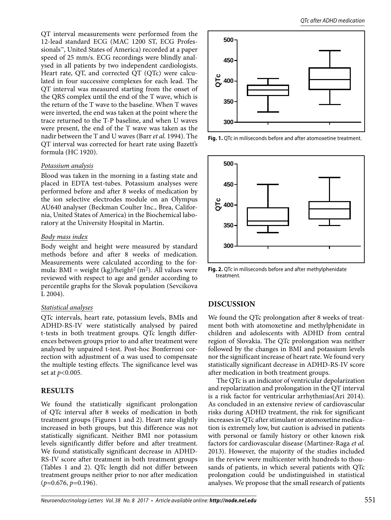QT interval measurements were performed from the 12-lead standard ECG (MAC 1200 ST, ECG Professionals™, United States of America) recorded at a paper speed of 25 mm/s. ECG recordings were blindly analysed in all patients by two independent cardiologists. Heart rate, QT, and corrected QT (QTc) were calculated in four successive complexes for each lead. The QT interval was measured starting from the onset of the QRS complex until the end of the T wave, which is the return of the T wave to the baseline. When T waves were inverted, the end was taken at the point where the trace returned to the T-P baseline, and when U waves were present, the end of the T wave was taken as the nadir between the T and U waves (Barr *et al.* 1994). The QT interval was corrected for heart rate using Bazett's formula (HC 1920).

#### *Potassium analysis*

Blood was taken in the morning in a fasting state and placed in EDTA test-tubes. Potassium analyses were performed before and after 8 weeks of medication by the ion selective electrodes module on an Olympus AU640 analyser (Beckman Coulter Inc., Brea, California, United States of America) in the Biochemical laboratory at the University Hospital in Martin.

#### *Body mass index*

Body weight and height were measured by standard methods before and after 8 weeks of medication. Measurements were calculated according to the formula: BMI = weight  $(kg)/height<sup>2</sup> (m<sup>2</sup>)$ . All values were reviewed with respect to age and gender according to percentile graphs for the Slovak population (Sevcikova L 2004).

## *Statistical analyses*

QTc intervals, heart rate, potassium levels, BMIs and ADHD-RS-IV were statistically analysed by paired t-tests in both treatment groups. QTc length differences between groups prior to and after treatment were analysed by unpaired t-test. Post-hoc Bonferroni correction with adjustment of α was used to compensate the multiple testing effects. The significance level was set at *p<*0.005.

## **RESULTS**

We found the statistically significant prolongation of QTc interval after 8 weeks of medication in both treatment groups (Figures 1 and 2). Heart rate slightly increased in both groups, but this difference was not statistically significant. Neither BMI nor potassium levels significantly differ before and after treatment. We found statistically significant decrease in ADHD-RS-IV score after treatment in both treatment groups (Tables 1 and 2). QTc length did not differ between treatment groups neither prior to nor after medication (*p=*0.676, *p=*0.196).



**Fig. 1.** QTc in miliseconds before and after atomoxetine treatment.



**Fig. 2.** QTc in miliseconds before and after methylphenidate treatment.

## **DISCUSSION**

We found the QTc prolongation after 8 weeks of treatment both with atomoxetine and methylphenidate in children and adolescents with ADHD from central region of Slovakia. The QTc prolongation was neither followed by the changes in BMI and potassium levels nor the significant increase of heart rate. We found very statistically significant decrease in ADHD-RS-IV score after medication in both treatment groups.

The QTc is an indicator of ventricular depolarization and repolarization and prolongation in the QT interval is a risk factor for ventricular arrhythmias(Ari 2014). As concluded in an extensive review of cardiovascular risks during ADHD treatment, the risk for significant increases in QTc after stimulant or atomoxetine medication is extremely low, but caution is advised in patients with personal or family history or other known risk factors for cardiovascular disease (Martinez-Raga *et al.*  2013). However, the majority of the studies included in the review were multicenter with hundreds to thousands of patients, in which several patients with QTc prolongation could be undistinguished in statistical analyses. We propose that the small research of patients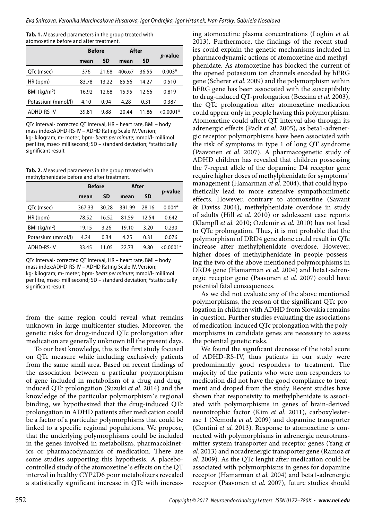**Tab. 1.** Measured parameters in the group treated with atomoxetine before and after treatment.

|                            | <b>Before</b> |           | After  |           |                 |
|----------------------------|---------------|-----------|--------|-----------|-----------------|
|                            | mean          | <b>SD</b> | mean   | <b>SD</b> | <i>p</i> -value |
| QTc (msec)                 | 376           | 21.68     | 406.67 | 36.55     | $0.003*$        |
| HR (bpm)                   | 83.78         | 13.22     | 85.56  | 14.27     | 0.510           |
| $BMl$ (kg/m <sup>2</sup> ) | 16.92         | 12.68     | 15.95  | 12.66     | 0.819           |
| Potassium (mmol/l)         | 4.10          | 0.94      | 4.28   | 0.31      | 0.387           |
| ADHD-RS-IV                 | 39.81         | 9.88      | 20.44  | 11.86     | $<$ 0.0001*     |

QTc interval- corrected QT Interval, HR – heart rate, BMI – body mass index;ADHD-RS-IV – ADHD Rating Scale IV. Version; kg- kilogram; m- meter; bpm- beats per minute; mmol/l- millimol per litre, msec- millisecond; SD – standard deviation; \*statistically significant result

**Tab. 2.** Measured parameters in the group treated with methylphenidate before and after treatment.

|                            | <b>Before</b> |           | After  |           |                 |
|----------------------------|---------------|-----------|--------|-----------|-----------------|
|                            | mean          | <b>SD</b> | mean   | <b>SD</b> | <i>p</i> -value |
| QTc (msec)                 | 367.33        | 30.28     | 391.99 | 28.16     | $0.004*$        |
| HR (bpm)                   | 78.52         | 16.52     | 81.59  | 12.54     | 0.642           |
| $BMl$ (kg/m <sup>2</sup> ) | 19.15         | 3.26      | 19.10  | 3.20      | 0.230           |
| Potassium (mmol/l)         | 4.24          | 0.34      | 4.25   | 0.31      | 0.076           |
| ADHD-RS-IV                 | 33.45         | 11.05     | 22.73  | 9.80      | ${<}0.0001*$    |

QTc interval- corrected QT Interval, HR – heart rate, BMI – body mass index;ADHD-RS-IV – ADHD Rating Scale IV. Version; kg- kilogram; m- meter; bpm- beats per minute; mmol/l- millimol per litre, msec- millisecond; SD – standard deviation; \*statistically significant result

from the same region could reveal what remains unknown in large multicenter studies. Moreover, the genetic risks for drug-induced QTc prolongation after medication are generally unknown till the present days.

To our best knowledge, this is the first study focused on QTc measure while including exclusively patients from the same small area. Based on recent findings of the association between a particular polymorphism of gene included in metabolism of a drug and druginduced QTc prolongation (Suzuki *et al.* 2014) and the knowledge of the particular polymorphism`s regional binding, we hypothesized that the drug-induced QTc prolongation in ADHD patients after medication could be a factor of a particular polymorphisms that could be linked to a specific regional populations. We propose, that the underlying polymorphisms could be included in the genes involved in metabolism, pharmacokinetics or pharmacodynamics of medication. There are some studies supporting this hypothesis. A placebocontrolled study of the atomoxetine`s effects on the QT interval in healthy CYP2D6 poor metabolizers revealed a statistically significant increase in QTc with increasing atomoxetine plasma concentrations (Loghin *et al.*  2013). Furthermore, the findings of the recent studies could explain the genetic mechanisms included in pharmacodynamic actions of atomoxetine and methylphenidate. As atomoxetine has blocked the current of the opened potassium ion channels encoded by hERG gene (Scherer *et al.* 2009) and the polymorphism within hERG gene has been associated with the susceptibility to drug-induced QT-prolongation (Bezzina *et al.* 2003), the QTc prolongation after atomoxetine medication could appear only in people having this polymorphism. Atomoxetine could affect QT interval also through its adrenergic effects (Paclt *et al.* 2005), as beta1-adrenergic receptor polymorphisms have been associated with the risk of symptoms in type 1 of long QT syndrome (Paavonen *et al.* 2007). A pharmacogenetic study of ADHD children has revealed that children possessing the 7-repeat allele of the dopamine D4 receptor gene require higher doses of methylphenidate for symptoms` management (Hamarman *et al.* 2004), that could hypothetically lead to more extensive sympathomimetic effects. However, contrary to atomoxetine (Sawant & Daviss 2004), methylphenidate overdose in study of adults (Hill *et al.* 2010) or adolescent case reports (Klampfl *et al.* 2010; Ozdemir *et al.* 2010) has not lead to QTc prolongation. Thus, it is not probable that the polymorphism of DRD4 gene alone could result in QTc increase after methylphenidate overdose. However, higher doses of methylphenidate in people possessing the two of the above mentioned polymorphisms in DRD4 gene (Hamarman *et al.* 2004) and beta1-adrenergic receptor gene (Paavonen *et al.* 2007) could have potential fatal consequences.

As we did not evaluate any of the above mentioned polymorphisms, the reason of the significant QTc prologation in children with ADHD from Slovakia remains in question. Further studies evaluating the associations of medication-induced QTc prolongation with the polymorphisms in candidate genes are necessary to assess the potential genetic risks.

We found the significant decrease of the total score of ADHD-RS-IV, thus patients in our study were predominantly good responders to treatment. The majority of the patients who were non-responders to medication did not have the good compliance to treatment and droped from the study. Recent studies have shown that responsivity to methylphenidate is associated with polymorphisms in genes of brain-derived neurotrophic factor (Kim *et al.* 2011), carboxylesterase 1 (Nemoda *et al.* 2009) and dopamine transporter (Contini *et al.* 2013). Response to atomoxetine is connected with polymorphisms in adrenergic neurotransmitter system transporter and receptor genes (Yang *et al.* 2013) and noradrenergic transporter gene (Ramoz *et al.* 2009). As the QTc lenght after medication could be associated with polymorphisms in genes for dopamine receptor (Hamarman *et al.* 2004) and beta1-adrenergic receptor (Paavonen *et al.* 2007), future studies should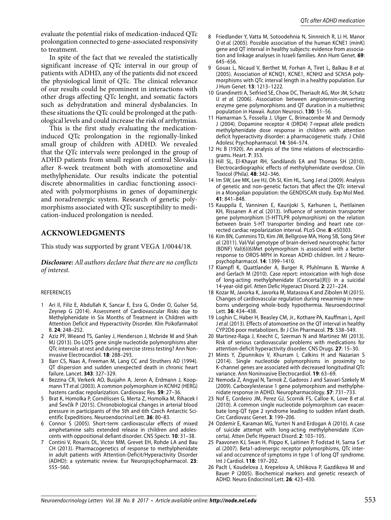evaluate the potential risks of medication-induced QTc prolongation connected to gene-associated responsivity to treatment.

In spite of the fact that we revealed the statistically significant increase of QTc interval in our group of patients with ADHD, any of the patients did not exceed the physiological limit of QTc. The clinical relevance of our results could be prominent in interactions with other drugs affecting QTc lenght, and somatic factors such as dehydratation and mineral dysbalancies. In these situations the QTc could be prolonged at the pathological levels and could increase the risk of arrhytmias.

This is the first study evaluating the medicationinduced QTc prolongation in the regionally-linked small group of children with ADHD. We revealed that the QTc intervals were prolonged in the group of ADHD patients from small region of central Slovakia after 8-week treatment both with atomoxetine and methylphenidate. Our results indicate the potential discrete abnormalities in cardiac functioning associated with polymorphisms in genes of dopaminergic and noradrenergic system. Research of genetic polymorphisms associated with QTc susceptibility to medication-induced prolongation is needed.

# **ACKNOWLEDGMENTS**

This study was supported by grant VEGA 1/0044/18.

*Disclosure: All authors declare that there are no conflicts of interest.*

## REFERENCES

- 1 Ari II, Filiz E, Abdullah K, Sancar E, Esra G, Onder O, Gulser Sd, Zeynep G (2014). Assessment of Cardiovascular Risks due to Methylphenidate in Six Months of Treatment in Children with Attention Deficit and Hyperactivity Disorder. Klin Psikofarmakol B. **24**: 248–252.
- 2 Aziz PF, Wieand TS, Ganley J, Henderson J, Mcbride M and Shah MJ (2013). Do LQTS gene single nucleotide polymorphisms alter QTc intervals at rest and during exercise stress testing? Ann Noninvasive Electrocardiol. **18**: 288–293.
- 3 Barr CS, Naas A, Freeman M, Lang CC and Struthers AD (1994). QT dispersion and sudden unexpected death in chronic heart failure. Lancet. **343**: 327–329.
- 4 Bezzina CR, Verkerk AO, Busjahn A, Jeron A, Erdmann J, Koopmann TT et al. (2003). A common polymorphism in KCNH2 (HERG) hastens cardiac repolarization. Cardiovasc Res. **59**: 27–36.
- 5 Brat K, Homolka P, Cornélissen G, Merta Z, Homolka M, Rihacek I and Ševčík P (2015). Chronobiological changes in arterial blood pressure in participants of the 5th and 6th Czech Antarctic Scientific Expeditions. Neuroendocrinol Lett. **36**: 80–83.
- 6 Connor S (2005). Short-term cardiovascular effects of mixed amphetamine salts extended release in children and adolescents with oppositional defiant disorder. CNS Spectr. **10**: 31–38.
- 7 Contini V, Rovaris DL, Victor MM, Grevet EH, Rohde LA and Bau CH (2013). Pharmacogenetics of response to methylphenidate in adult patients with Attention-Deficit/Hyperactivity Disorder (ADHD): a systematic review. Eur Neuropsychopharmacol. **23**: 555–560.
- 8 Friedlander Y, Vatta M, Sotoodehnia N, Sinnreich R, Li H, Manor O et al. (2005). Possible association of the human KCNE1 (minK) gene and QT interval in healthy subjects: evidence from association and linkage analyses in Israeli families. Ann Hum Genet. **69**: 645–656.
- 9 Gouas L, Nicaud V, Berthet M, Forhan A, Tiret L, Balkau B et al. (2005). Association of KCNQ1, KCNE1, KCNH2 and SCN5A polymorphisms with QTc interval length in a healthy population. Eur J Hum Genet. **13**: 1213–1222.
- 10 Grandinetti A, Seifried SE, Chow DC, Theriault AG, Mor JM, Schatz IJ et al. (2006). Association between angiotensin-converting enzyme gene polymorphisms and QT duration in a multiethnic population in Hawaii. Auton Neurosci. **130**: 51–56.
- 11 Hamarman S, Fossella J, Ulger C, Brimacombe M and Dermody J (2004). Dopamine receptor 4 (DRD4) 7-repeat allele predicts methylphenidate dose response in children with attention deficit hyperactivity disorder: a pharmacogenetic study. J Child Adolesc Psychopharmacol. **14**: 564–574.
- 12 Hc B (1920). An analysis of the time relations of electrocardiograms. Heart. **7**: 353.
- 13 Hill SL, El-Khayat RH, Sandilands EA and Thomas SH (2010). Electrocardiographic effects of methylphenidate overdose. Clin Toxicol (Phila). **48**: 342–346.
- 14 Im SW, Lee MK, Lee HJ, Oh SI, Kim HL, Sung J et al. (2009). Analysis of genetic and non-genetic factors that affect the QTc interval in a Mongolian population: the GENDISCAN study. Exp Mol Med. **41**: 841–848.
- 15 Kauppila E, Vanninen E, Kaurijoki S, Karhunen L, Pietilainen KH, Rissanen A et al. (2013). Influence of serotonin transporter gene polymorphism (5-HTTLPR polymorphism) on the relation between brain 5-HT transporter binding and heart rate corrected cardiac repolarization interval. PLoS One. **8**: e50303.
- 16 Kim BN, Cummins TD, Kim JW, Bellgrove MA, Hong SB, Song SH et al. (2011). Val/Val genotype of brain-derived neurotrophic factor (BDNF) Val(6)(6)Met polymorphism is associated with a better response to OROS-MPH in Korean ADHD children. Int J Neuropsychopharmacol. **14**: 1399–1410.
- 17 Klampfl K, Quattlander A, Burger R, Pfuhlmann B, Warnke A and Gerlach M (2010). Case report: intoxication with high dose of long-acting methylphenidate (Concerta((R))) in a suicidal 14-year-old girl. Atten Defic Hyperact Disord. **2**: 221–224.
- 18 Kozar M, Javorka K, Javorka M, Matasova K and Zibolen M (2015). Changes of cardiovascular regulation during rewarming in newborns undergoing whole-body hypothermia. Neuroendocrinol Lett. **36**: 434–438.
- 19 Loghin C, Haber H, Beasley CM, Jr., Kothare PA, Kauffman L, April J et al. (2013). Effects of atomoxetine on the QT interval in healthy CYP2D6 poor metabolizers. Br J Clin Pharmacol. **75**: 538–549.
- 20 Martinez-Raga J, Knecht C, Szerman N and Martinez MI (2013). Risk of serious cardiovascular problems with medications for attention-deficit hyperactivity disorder. CNS Drugs. **27**: 15–30.
- 21 Mints Y, Zipunnikov V, Khurram I, Calkins H and Nazarian S (2014). Single nucleotide polymorphisms in proximity to K-channel genes are associated with decreased longitudinal QTc variance. Ann Noninvasive Electrocardiol. **19**: 63–69.
- 22 Nemoda Z, Angyal N, Tarnok Z, Gadoros J and Sasvari-Szekely M (2009). Carboxylesterase 1 gene polymorphism and methylphenidate response in ADHD. Neuropharmacology. **57**: 731–733.
- 23 Nof E, Cordeiro JM, Perez GJ, Scornik FS, Calloe K, Love B et al. (2010). A common single nucleotide polymorphism can exacerbate long-QT type 2 syndrome leading to sudden infant death. Circ Cardiovasc Genet. **3**: 199–206.
- 24 Ozdemir E, Karaman MG, Yurteri N and Erdogan A (2010). A case of suicide attempt with long-acting methylphenidate (Concerta). Atten Defic Hyperact Disord. **2**: 103–105.
- 25 Paavonen KJ, Swan H, Piippo K, Laitinen P, Fodstad H, Sarna S et al. (2007). Beta1-adrenergic receptor polymorphisms, QTc interval and occurrence of symptoms in type 1 of long QT syndrome. Int J Cardiol. **118**: 197–202.
- 26 Paclt I, Koudelova J, Krepelova A, Uhlikova P, Gazdikova M and Bauer P (2005). Biochemical markers and genetic research of ADHD. Neuro Endocrinol Lett. **26**: 423–430.